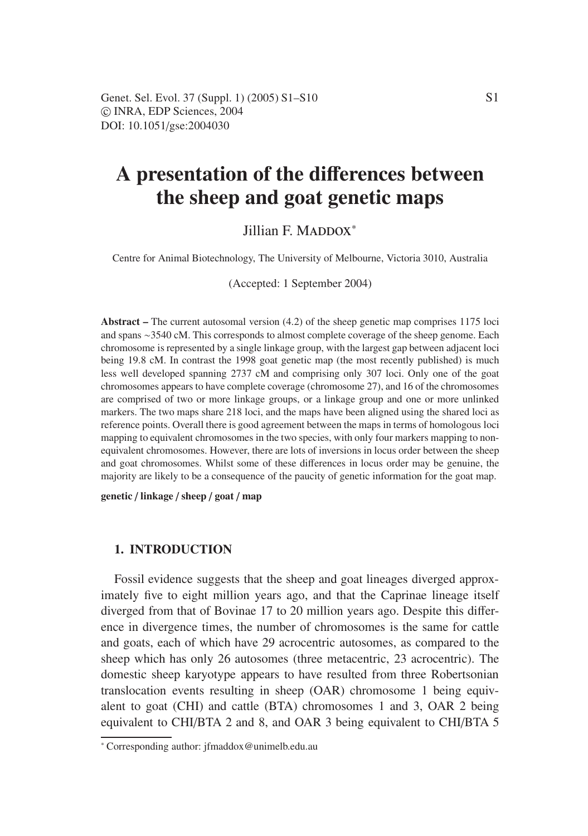# **A presentation of the di**ff**erences between the sheep and goat genetic maps**

# Jillian F. MADDOX<sup>\*</sup>

Centre for Animal Biotechnology, The University of Melbourne, Victoria 3010, Australia

(Accepted: 1 September 2004)

**Abstract –** The current autosomal version (4.2) of the sheep genetic map comprises 1175 loci and spans ∼3540 cM. This corresponds to almost complete coverage of the sheep genome. Each chromosome is represented by a single linkage group, with the largest gap between adjacent loci being 19.8 cM. In contrast the 1998 goat genetic map (the most recently published) is much less well developed spanning 2737 cM and comprising only 307 loci. Only one of the goat chromosomes appears to have complete coverage (chromosome 27), and 16 of the chromosomes are comprised of two or more linkage groups, or a linkage group and one or more unlinked markers. The two maps share 218 loci, and the maps have been aligned using the shared loci as reference points. Overall there is good agreement between the maps in terms of homologous loci mapping to equivalent chromosomes in the two species, with only four markers mapping to nonequivalent chromosomes. However, there are lots of inversions in locus order between the sheep and goat chromosomes. Whilst some of these differences in locus order may be genuine, the majority are likely to be a consequence of the paucity of genetic information for the goat map.

**genetic** / **linkage** / **sheep** / **goat** / **map**

#### **1. INTRODUCTION**

Fossil evidence suggests that the sheep and goat lineages diverged approximately five to eight million years ago, and that the Caprinae lineage itself diverged from that of Bovinae 17 to 20 million years ago. Despite this difference in divergence times, the number of chromosomes is the same for cattle and goats, each of which have 29 acrocentric autosomes, as compared to the sheep which has only 26 autosomes (three metacentric, 23 acrocentric). The domestic sheep karyotype appears to have resulted from three Robertsonian translocation events resulting in sheep (OAR) chromosome 1 being equivalent to goat (CHI) and cattle (BTA) chromosomes 1 and 3, OAR 2 being equivalent to CHI/BTA 2 and 8, and OAR 3 being equivalent to CHI/BTA 5

<sup>∗</sup> Corresponding author: jfmaddox@unimelb.edu.au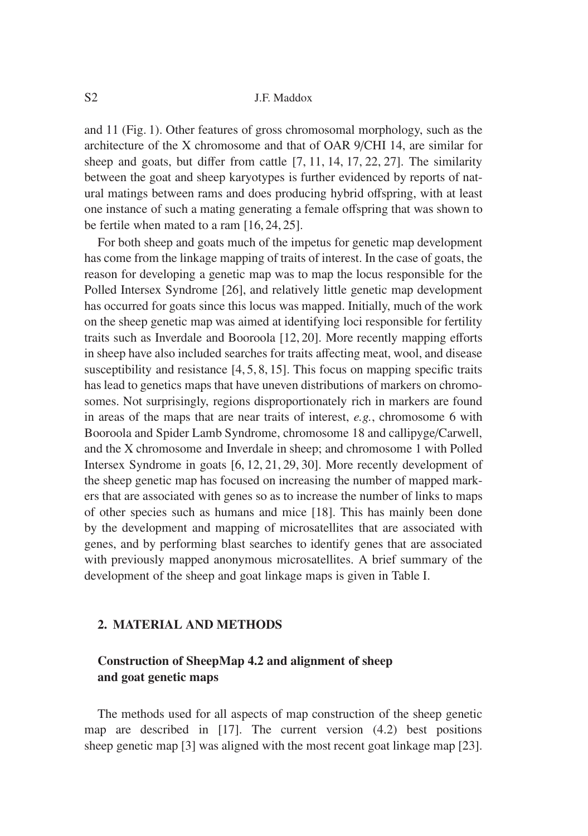and 11 (Fig. 1). Other features of gross chromosomal morphology, such as the architecture of the X chromosome and that of OAR 9/CHI 14, are similar for sheep and goats, but differ from cattle [7, 11, 14, 17, 22, 27]. The similarity between the goat and sheep karyotypes is further evidenced by reports of natural matings between rams and does producing hybrid offspring, with at least one instance of such a mating generating a female offspring that was shown to be fertile when mated to a ram [16, 24, 25].

For both sheep and goats much of the impetus for genetic map development has come from the linkage mapping of traits of interest. In the case of goats, the reason for developing a genetic map was to map the locus responsible for the Polled Intersex Syndrome [26], and relatively little genetic map development has occurred for goats since this locus was mapped. Initially, much of the work on the sheep genetic map was aimed at identifying loci responsible for fertility traits such as Inverdale and Booroola [12, 20]. More recently mapping efforts in sheep have also included searches for traits affecting meat, wool, and disease susceptibility and resistance [4, 5, 8, 15]. This focus on mapping specific traits has lead to genetics maps that have uneven distributions of markers on chromosomes. Not surprisingly, regions disproportionately rich in markers are found in areas of the maps that are near traits of interest, *e.g.*, chromosome 6 with Booroola and Spider Lamb Syndrome, chromosome 18 and callipyge/Carwell, and the X chromosome and Inverdale in sheep; and chromosome 1 with Polled Intersex Syndrome in goats [6, 12, 21, 29, 30]. More recently development of the sheep genetic map has focused on increasing the number of mapped markers that are associated with genes so as to increase the number of links to maps of other species such as humans and mice [18]. This has mainly been done by the development and mapping of microsatellites that are associated with genes, and by performing blast searches to identify genes that are associated with previously mapped anonymous microsatellites. A brief summary of the development of the sheep and goat linkage maps is given in Table I.

## **2. MATERIAL AND METHODS**

# **Construction of SheepMap 4.2 and alignment of sheep and goat genetic maps**

The methods used for all aspects of map construction of the sheep genetic map are described in [17]. The current version (4.2) best positions sheep genetic map [3] was aligned with the most recent goat linkage map [23].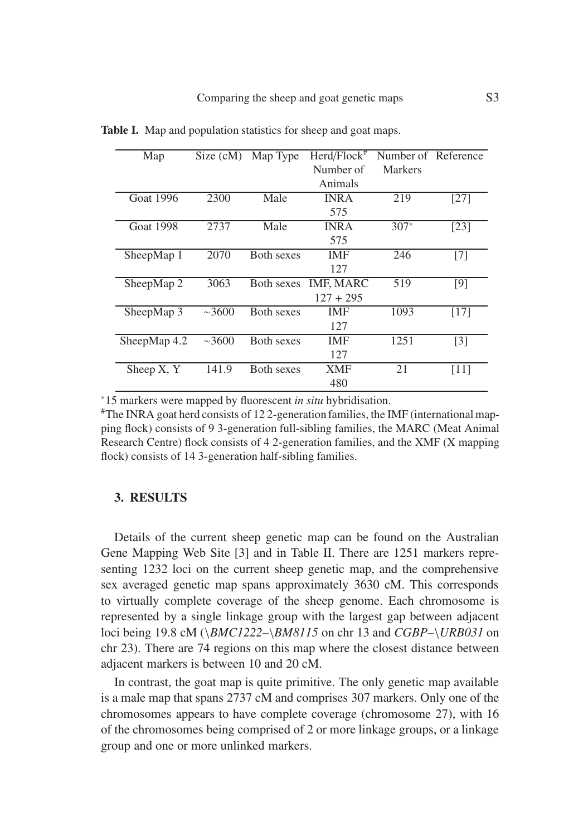| Map              | Size $(cM)$ | Map Type          | $Herd/Flock$ <sup>#</sup> | Number of Reference |                   |
|------------------|-------------|-------------------|---------------------------|---------------------|-------------------|
|                  |             |                   | Number of                 | Markers             |                   |
|                  |             |                   | Animals                   |                     |                   |
| <b>Goat 1996</b> | 2300        | Male              | <b>INRA</b>               | 219                 | [27]              |
|                  |             |                   | 575                       |                     |                   |
| <b>Goat 1998</b> | 2737        | Male              | <b>INRA</b>               | $307*$              | [23]              |
|                  |             |                   | 575                       |                     |                   |
| SheepMap 1       | 2070        | <b>Both sexes</b> | <b>IMF</b>                | 246                 | $[7]$             |
|                  |             |                   | 127                       |                     |                   |
| SheepMap 2       | 3063        | Both sexes        | <b>IMF, MARC</b>          | 519                 | [9]               |
|                  |             |                   | $127 + 295$               |                     |                   |
| SheepMap 3       | $\sim$ 3600 | <b>Both sexes</b> | <b>IMF</b>                | 1093                | [17]              |
|                  |             |                   | 127                       |                     |                   |
| SheepMap $4.2$   | $\sim 3600$ | <b>Both sexes</b> | <b>IMF</b>                | 1251                | $\lceil 3 \rceil$ |
|                  |             |                   | 127                       |                     |                   |
| Sheep X, Y       | 141.9       | <b>Both sexes</b> | <b>XMF</b>                | 21                  | [11]              |
|                  |             |                   | 480                       |                     |                   |

**Table I.** Map and population statistics for sheep and goat maps.

<sup>∗</sup>15 markers were mapped by fluorescent *in situ* hybridisation.

#The INRA goat herd consists of 12 2-generation families, the IMF (international mapping flock) consists of 9 3-generation full-sibling families, the MARC (Meat Animal Research Centre) flock consists of 4 2-generation families, and the XMF (X mapping flock) consists of 14 3-generation half-sibling families.

## **3. RESULTS**

Details of the current sheep genetic map can be found on the Australian Gene Mapping Web Site [3] and in Table II. There are 1251 markers representing 1232 loci on the current sheep genetic map, and the comprehensive sex averaged genetic map spans approximately 3630 cM. This corresponds to virtually complete coverage of the sheep genome. Each chromosome is represented by a single linkage group with the largest gap between adjacent loci being 19.8 cM (\*BMC1222*–\*BM8115* on chr 13 and *CGBP*–\*URB031* on chr 23). There are 74 regions on this map where the closest distance between adjacent markers is between 10 and 20 cM.

In contrast, the goat map is quite primitive. The only genetic map available is a male map that spans 2737 cM and comprises 307 markers. Only one of the chromosomes appears to have complete coverage (chromosome 27), with 16 of the chromosomes being comprised of 2 or more linkage groups, or a linkage group and one or more unlinked markers.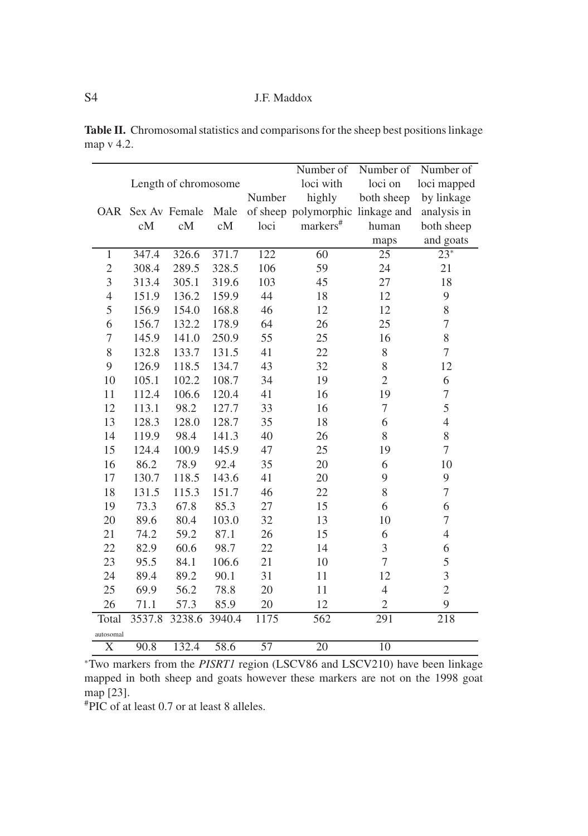S4 J.F. Maddox

|                       |        |               |       |                 | Number of                        | Number of       | Number of                |
|-----------------------|--------|---------------|-------|-----------------|----------------------------------|-----------------|--------------------------|
| Length of chromosome  |        |               |       |                 | loci with                        | loci on         | loci mapped              |
|                       |        |               |       | Number          | highly                           | both sheep      | by linkage               |
| <b>OAR</b>            |        | Sex Av Female | Male  |                 | of sheep polymorphic linkage and |                 | analysis in              |
|                       | cM     | cM            | cM    | loci            | markers <sup>#</sup>             | human           | both sheep               |
|                       |        |               |       |                 |                                  | maps            | and goats                |
| $\mathbf{1}$          | 347.4  | 326.6         | 371.7 | 122             | $\overline{60}$                  | $\overline{25}$ | $23*$                    |
| $\overline{2}$        | 308.4  | 289.5         | 328.5 | 106             | 59                               | 24              | 21                       |
| 3                     | 313.4  | 305.1         | 319.6 | 103             | 45                               | 27              | 18                       |
| $\overline{4}$        | 151.9  | 136.2         | 159.9 | 44              | 18                               | 12              | 9                        |
| 5                     | 156.9  | 154.0         | 168.8 | 46              | 12                               | 12              | 8                        |
| 6                     | 156.7  | 132.2         | 178.9 | 64              | 26                               | 25              | $\overline{7}$           |
| $\overline{7}$        | 145.9  | 141.0         | 250.9 | 55              | 25                               | 16              | 8                        |
| 8                     | 132.8  | 133.7         | 131.5 | 41              | 22                               | 8               | $\overline{7}$           |
| 9                     | 126.9  | 118.5         | 134.7 | 43              | 32                               | 8               | 12                       |
| 10                    | 105.1  | 102.2         | 108.7 | 34              | 19                               | $\overline{2}$  | 6                        |
| 11                    | 112.4  | 106.6         | 120.4 | 41              | 16                               | 19              | $\overline{7}$           |
| 12                    | 113.1  | 98.2          | 127.7 | 33              | 16                               | $\tau$          | 5                        |
| 13                    | 128.3  | 128.0         | 128.7 | 35              | 18                               | 6               | $\overline{\mathcal{L}}$ |
| 14                    | 119.9  | 98.4          | 141.3 | 40              | 26                               | 8               | 8                        |
| 15                    | 124.4  | 100.9         | 145.9 | 47              | 25                               | 19              | $\overline{7}$           |
| 16                    | 86.2   | 78.9          | 92.4  | 35              | 20                               | 6               | 10                       |
| 17                    | 130.7  | 118.5         | 143.6 | 41              | 20                               | 9               | 9                        |
| 18                    | 131.5  | 115.3         | 151.7 | 46              | 22                               | 8               | $\overline{7}$           |
| 19                    | 73.3   | 67.8          | 85.3  | 27              | 15                               | 6               | 6                        |
| 20                    | 89.6   | 80.4          | 103.0 | 32              | 13                               | 10              | $\overline{7}$           |
| 21                    | 74.2   | 59.2          | 87.1  | 26              | 15                               | 6               | 4                        |
| 22                    | 82.9   | 60.6          | 98.7  | 22              | 14                               | 3               | 6                        |
| 23                    | 95.5   | 84.1          | 106.6 | 21              | 10                               | 7               | 5                        |
| 24                    | 89.4   | 89.2          | 90.1  | 31              | 11                               | 12              | 3                        |
| 25                    | 69.9   | 56.2          | 78.8  | 20              | 11                               | 4               | $\overline{c}$           |
| 26                    | 71.1   | 57.3          | 85.9  | 20              | 12                               | $\overline{2}$  | 9                        |
| Total                 | 3537.8 | 3238.6 3940.4 |       | 1175            | 562                              | 291             | 218                      |
| autosomal             |        |               |       |                 |                                  |                 |                          |
| $\overline{\text{X}}$ | 90.8   | 132.4         | 58.6  | $\overline{57}$ | $\overline{20}$                  | 10              |                          |

**Table II.** Chromosomal statistics and comparisons for the sheep best positions linkage map v 4.2.

<sup>∗</sup>Two markers from the *PISRT1* region (LSCV86 and LSCV210) have been linkage mapped in both sheep and goats however these markers are not on the 1998 goat map [23].

#PIC of at least 0.7 or at least 8 alleles.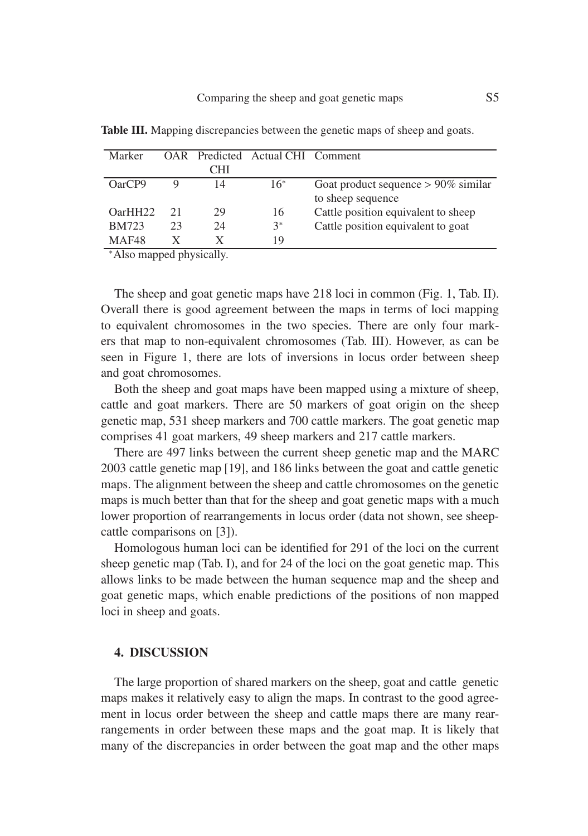| Marker         |    |     | OAR Predicted Actual CHI Comment |                                        |
|----------------|----|-----|----------------------------------|----------------------------------------|
|                |    | CHI |                                  |                                        |
| OarCP9         |    | 14  | $16*$                            | Goat product sequence $> 90\%$ similar |
|                |    |     |                                  | to sheep sequence                      |
| OarHH22        | 21 | 29  | 16                               | Cattle position equivalent to sheep    |
| <b>BM723</b>   | 23 | 24  | $3^*$                            | Cattle position equivalent to goat     |
| MAF48          |    | X   | 19                               |                                        |
| $-1$ $-1$ $-1$ |    |     |                                  |                                        |

**Table III.** Mapping discrepancies between the genetic maps of sheep and goats.

<sup>∗</sup>Also mapped physically.

The sheep and goat genetic maps have 218 loci in common (Fig. 1, Tab. II). Overall there is good agreement between the maps in terms of loci mapping to equivalent chromosomes in the two species. There are only four markers that map to non-equivalent chromosomes (Tab. III). However, as can be seen in Figure 1, there are lots of inversions in locus order between sheep and goat chromosomes.

Both the sheep and goat maps have been mapped using a mixture of sheep, cattle and goat markers. There are 50 markers of goat origin on the sheep genetic map, 531 sheep markers and 700 cattle markers. The goat genetic map comprises 41 goat markers, 49 sheep markers and 217 cattle markers.

There are 497 links between the current sheep genetic map and the MARC 2003 cattle genetic map [19], and 186 links between the goat and cattle genetic maps. The alignment between the sheep and cattle chromosomes on the genetic maps is much better than that for the sheep and goat genetic maps with a much lower proportion of rearrangements in locus order (data not shown, see sheepcattle comparisons on [3]).

Homologous human loci can be identified for 291 of the loci on the current sheep genetic map (Tab. I), and for 24 of the loci on the goat genetic map. This allows links to be made between the human sequence map and the sheep and goat genetic maps, which enable predictions of the positions of non mapped loci in sheep and goats.

#### **4. DISCUSSION**

The large proportion of shared markers on the sheep, goat and cattle genetic maps makes it relatively easy to align the maps. In contrast to the good agreement in locus order between the sheep and cattle maps there are many rearrangements in order between these maps and the goat map. It is likely that many of the discrepancies in order between the goat map and the other maps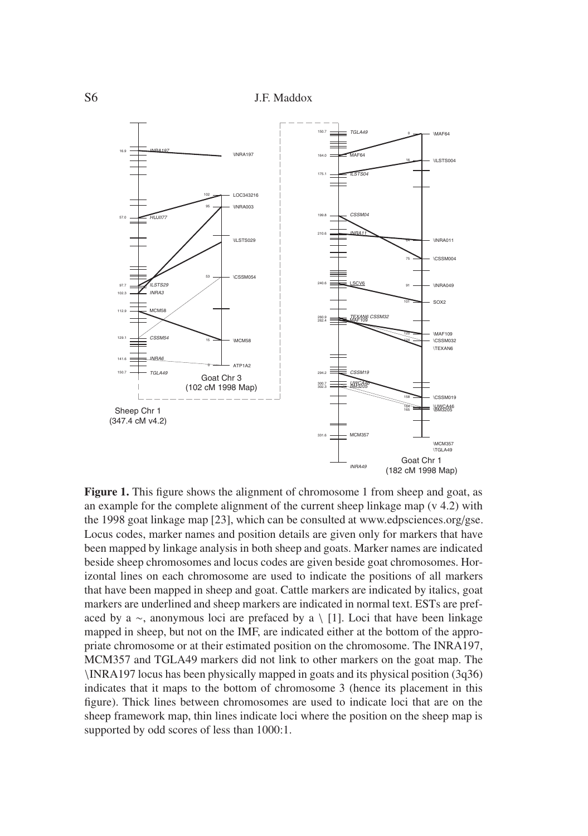S6 J.F. Maddox



**Figure 1.** This figure shows the alignment of chromosome 1 from sheep and goat, as an example for the complete alignment of the current sheep linkage map (v 4.2) with the 1998 goat linkage map [23], which can be consulted at www.edpsciences.org/gse. Locus codes, marker names and position details are given only for markers that have been mapped by linkage analysis in both sheep and goats. Marker names are indicated beside sheep chromosomes and locus codes are given beside goat chromosomes. Horizontal lines on each chromosome are used to indicate the positions of all markers that have been mapped in sheep and goat. Cattle markers are indicated by italics, goat markers are underlined and sheep markers are indicated in normal text. ESTs are prefaced by a ∼, anonymous loci are prefaced by a \ [1]. Loci that have been linkage mapped in sheep, but not on the IMF, are indicated either at the bottom of the appropriate chromosome or at their estimated position on the chromosome. The INRA197, MCM357 and TGLA49 markers did not link to other markers on the goat map. The \INRA197 locus has been physically mapped in goats and its physical position (3q36) indicates that it maps to the bottom of chromosome 3 (hence its placement in this figure). Thick lines between chromosomes are used to indicate loci that are on the sheep framework map, thin lines indicate loci where the position on the sheep map is supported by odd scores of less than 1000:1.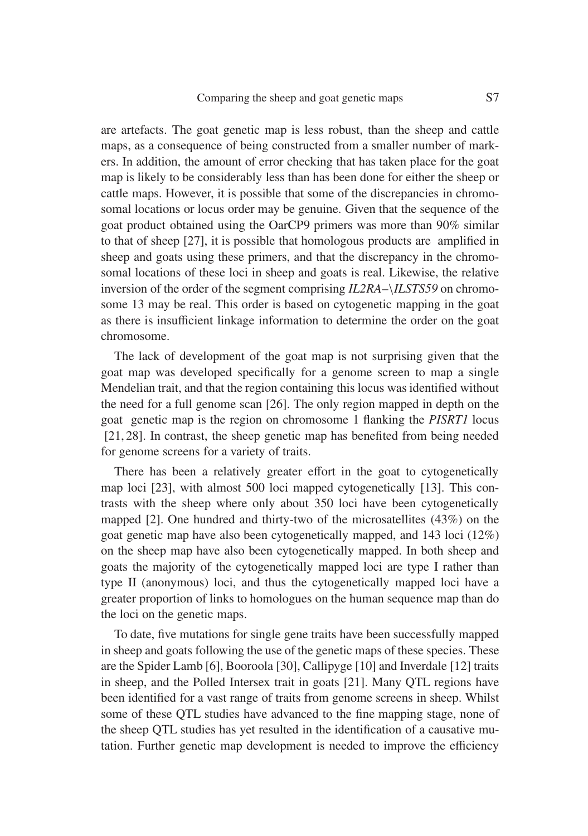are artefacts. The goat genetic map is less robust, than the sheep and cattle maps, as a consequence of being constructed from a smaller number of markers. In addition, the amount of error checking that has taken place for the goat map is likely to be considerably less than has been done for either the sheep or cattle maps. However, it is possible that some of the discrepancies in chromosomal locations or locus order may be genuine. Given that the sequence of the goat product obtained using the OarCP9 primers was more than 90% similar to that of sheep [27], it is possible that homologous products are amplified in sheep and goats using these primers, and that the discrepancy in the chromosomal locations of these loci in sheep and goats is real. Likewise, the relative inversion of the order of the segment comprising *IL2RA*–\*ILSTS59* on chromosome 13 may be real. This order is based on cytogenetic mapping in the goat as there is insufficient linkage information to determine the order on the goat chromosome.

The lack of development of the goat map is not surprising given that the goat map was developed specifically for a genome screen to map a single Mendelian trait, and that the region containing this locus was identified without the need for a full genome scan [26]. The only region mapped in depth on the goat genetic map is the region on chromosome 1 flanking the *PISRT1* locus [21, 28]. In contrast, the sheep genetic map has benefited from being needed for genome screens for a variety of traits.

There has been a relatively greater effort in the goat to cytogenetically map loci [23], with almost 500 loci mapped cytogenetically [13]. This contrasts with the sheep where only about 350 loci have been cytogenetically mapped [2]. One hundred and thirty-two of the microsatellites (43%) on the goat genetic map have also been cytogenetically mapped, and 143 loci (12%) on the sheep map have also been cytogenetically mapped. In both sheep and goats the majority of the cytogenetically mapped loci are type I rather than type II (anonymous) loci, and thus the cytogenetically mapped loci have a greater proportion of links to homologues on the human sequence map than do the loci on the genetic maps.

To date, five mutations for single gene traits have been successfully mapped in sheep and goats following the use of the genetic maps of these species. These are the Spider Lamb [6], Booroola [30], Callipyge [10] and Inverdale [12] traits in sheep, and the Polled Intersex trait in goats [21]. Many QTL regions have been identified for a vast range of traits from genome screens in sheep. Whilst some of these QTL studies have advanced to the fine mapping stage, none of the sheep QTL studies has yet resulted in the identification of a causative mutation. Further genetic map development is needed to improve the efficiency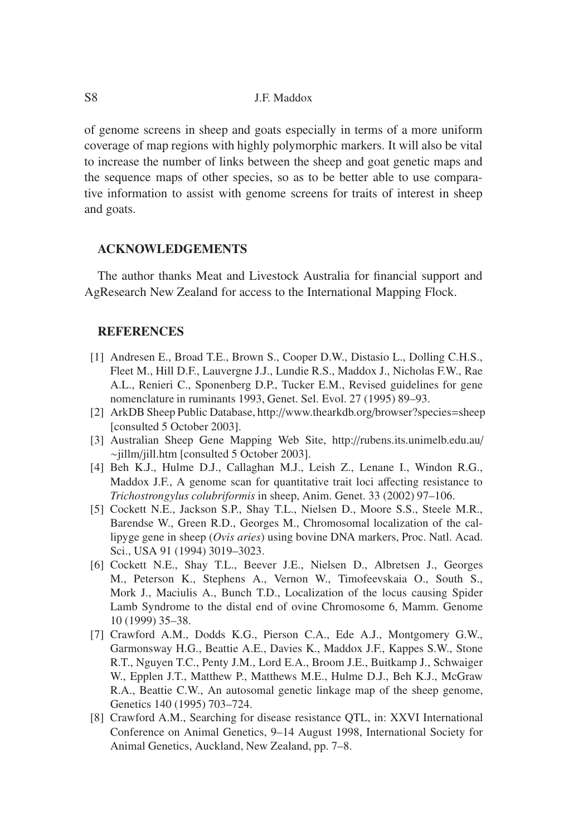S8 J.F. Maddox

of genome screens in sheep and goats especially in terms of a more uniform coverage of map regions with highly polymorphic markers. It will also be vital to increase the number of links between the sheep and goat genetic maps and the sequence maps of other species, so as to be better able to use comparative information to assist with genome screens for traits of interest in sheep and goats.

### **ACKNOWLEDGEMENTS**

The author thanks Meat and Livestock Australia for financial support and AgResearch New Zealand for access to the International Mapping Flock.

#### **REFERENCES**

- [1] Andresen E., Broad T.E., Brown S., Cooper D.W., Distasio L., Dolling C.H.S., Fleet M., Hill D.F., Lauvergne J.J., Lundie R.S., Maddox J., Nicholas F.W., Rae A.L., Renieri C., Sponenberg D.P., Tucker E.M., Revised guidelines for gene nomenclature in ruminants 1993, Genet. Sel. Evol. 27 (1995) 89–93.
- [2] ArkDB Sheep Public Database, http://www.thearkdb.org/browser?species=sheep [consulted 5 October 2003].
- [3] Australian Sheep Gene Mapping Web Site, http://rubens.its.unimelb.edu.au/ ∼jillm/jill.htm [consulted 5 October 2003].
- [4] Beh K.J., Hulme D.J., Callaghan M.J., Leish Z., Lenane I., Windon R.G., Maddox J.F., A genome scan for quantitative trait loci affecting resistance to *Trichostrongylus colubriformis* in sheep, Anim. Genet. 33 (2002) 97–106.
- [5] Cockett N.E., Jackson S.P., Shay T.L., Nielsen D., Moore S.S., Steele M.R., Barendse W., Green R.D., Georges M., Chromosomal localization of the callipyge gene in sheep (*Ovis aries*) using bovine DNA markers, Proc. Natl. Acad. Sci., USA 91 (1994) 3019–3023.
- [6] Cockett N.E., Shay T.L., Beever J.E., Nielsen D., Albretsen J., Georges M., Peterson K., Stephens A., Vernon W., Timofeevskaia O., South S., Mork J., Maciulis A., Bunch T.D., Localization of the locus causing Spider Lamb Syndrome to the distal end of ovine Chromosome 6, Mamm. Genome 10 (1999) 35–38.
- [7] Crawford A.M., Dodds K.G., Pierson C.A., Ede A.J., Montgomery G.W., Garmonsway H.G., Beattie A.E., Davies K., Maddox J.F., Kappes S.W., Stone R.T., Nguyen T.C., Penty J.M., Lord E.A., Broom J.E., Buitkamp J., Schwaiger W., Epplen J.T., Matthew P., Matthews M.E., Hulme D.J., Beh K.J., McGraw R.A., Beattie C.W., An autosomal genetic linkage map of the sheep genome, Genetics 140 (1995) 703–724.
- [8] Crawford A.M., Searching for disease resistance QTL, in: XXVI International Conference on Animal Genetics, 9–14 August 1998, International Society for Animal Genetics, Auckland, New Zealand, pp. 7–8.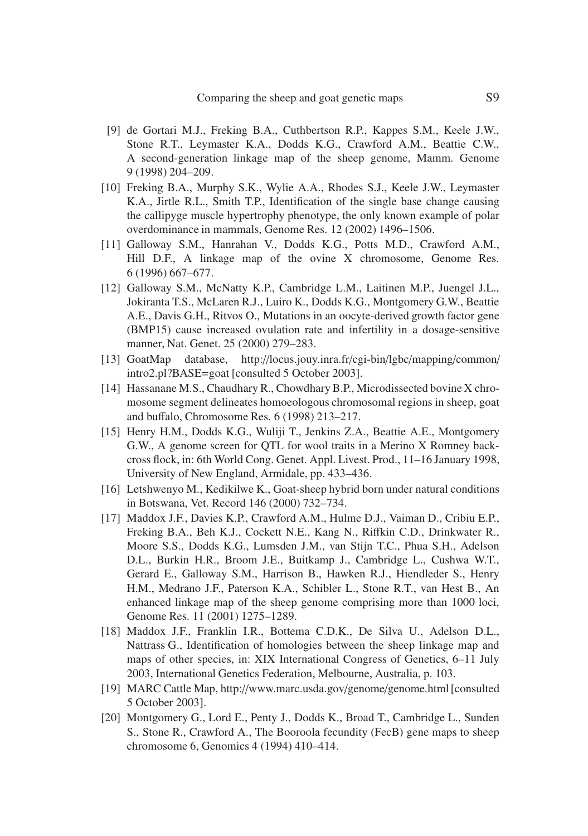- [9] de Gortari M.J., Freking B.A., Cuthbertson R.P., Kappes S.M., Keele J.W., Stone R.T., Leymaster K.A., Dodds K.G., Crawford A.M., Beattie C.W., A second-generation linkage map of the sheep genome, Mamm. Genome 9 (1998) 204–209.
- [10] Freking B.A., Murphy S.K., Wylie A.A., Rhodes S.J., Keele J.W., Leymaster K.A., Jirtle R.L., Smith T.P., Identification of the single base change causing the callipyge muscle hypertrophy phenotype, the only known example of polar overdominance in mammals, Genome Res. 12 (2002) 1496–1506.
- [11] Galloway S.M., Hanrahan V., Dodds K.G., Potts M.D., Crawford A.M., Hill D.F., A linkage map of the ovine X chromosome, Genome Res. 6 (1996) 667–677.
- [12] Galloway S.M., McNatty K.P., Cambridge L.M., Laitinen M.P., Juengel J.L., Jokiranta T.S., McLaren R.J., Luiro K., Dodds K.G., Montgomery G.W., Beattie A.E., Davis G.H., Ritvos O., Mutations in an oocyte-derived growth factor gene (BMP15) cause increased ovulation rate and infertility in a dosage-sensitive manner, Nat. Genet. 25 (2000) 279–283.
- [13] GoatMap database, http://locus.jouy.inra.fr/cgi-bin/lgbc/mapping/common/ intro2.pl?BASE=goat [consulted 5 October 2003].
- [14] Hassanane M.S., Chaudhary R., Chowdhary B.P., Microdissected bovine X chromosome segment delineates homoeologous chromosomal regions in sheep, goat and buffalo, Chromosome Res. 6 (1998) 213–217.
- [15] Henry H.M., Dodds K.G., Wuliji T., Jenkins Z.A., Beattie A.E., Montgomery G.W., A genome screen for QTL for wool traits in a Merino X Romney backcross flock, in: 6th World Cong. Genet. Appl. Livest. Prod., 11–16 January 1998, University of New England, Armidale, pp. 433–436.
- [16] Letshwenyo M., Kedikilwe K., Goat-sheep hybrid born under natural conditions in Botswana, Vet. Record 146 (2000) 732–734.
- [17] Maddox J.F., Davies K.P., Crawford A.M., Hulme D.J., Vaiman D., Cribiu E.P., Freking B.A., Beh K.J., Cockett N.E., Kang N., Riffkin C.D., Drinkwater R., Moore S.S., Dodds K.G., Lumsden J.M., van Stijn T.C., Phua S.H., Adelson D.L., Burkin H.R., Broom J.E., Buitkamp J., Cambridge L., Cushwa W.T., Gerard E., Galloway S.M., Harrison B., Hawken R.J., Hiendleder S., Henry H.M., Medrano J.F., Paterson K.A., Schibler L., Stone R.T., van Hest B., An enhanced linkage map of the sheep genome comprising more than 1000 loci, Genome Res. 11 (2001) 1275–1289.
- [18] Maddox J.F., Franklin I.R., Bottema C.D.K., De Silva U., Adelson D.L., Nattrass G., Identification of homologies between the sheep linkage map and maps of other species, in: XIX International Congress of Genetics, 6–11 July 2003, International Genetics Federation, Melbourne, Australia, p. 103.
- [19] MARC Cattle Map, http://www.marc.usda.gov/genome/genome.html [consulted 5 October 2003].
- [20] Montgomery G., Lord E., Penty J., Dodds K., Broad T., Cambridge L., Sunden S., Stone R., Crawford A., The Booroola fecundity (FecB) gene maps to sheep chromosome 6, Genomics 4 (1994) 410–414.